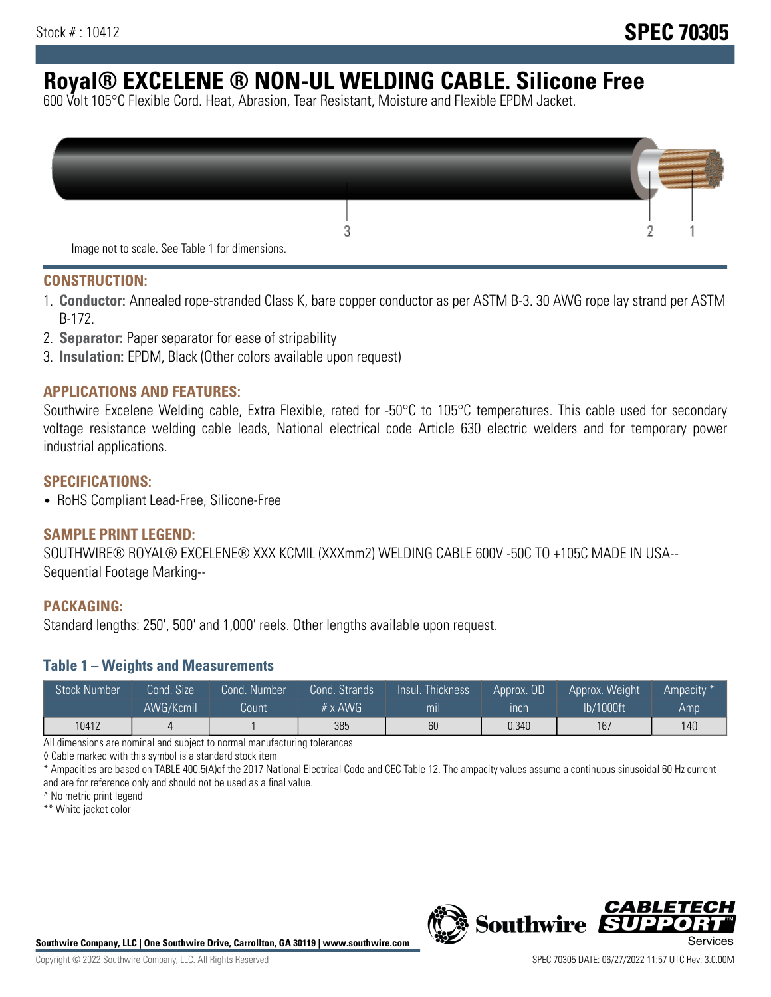# **Royal® EXCELENE ® NON-UL WELDING CABLE. Silicone Free**

600 Volt 105°C Flexible Cord. Heat, Abrasion, Tear Resistant, Moisture and Flexible EPDM Jacket.

| Image not to scale. See Table 1 for dimensions. |  |
|-------------------------------------------------|--|

#### **CONSTRUCTION:**

- 1. **Conductor:** Annealed rope-stranded Class K, bare copper conductor as per ASTM B-3. 30 AWG rope lay strand per ASTM B-172.
- 2. **Separator:** Paper separator for ease of stripability
- 3. **Insulation:** EPDM, Black (Other colors available upon request)

#### **APPLICATIONS AND FEATURES:**

Southwire Excelene Welding cable, Extra Flexible, rated for -50°C to 105°C temperatures. This cable used for secondary voltage resistance welding cable leads, National electrical code Article 630 electric welders and for temporary power industrial applications.

#### **SPECIFICATIONS:**

• RoHS Compliant Lead-Free, Silicone-Free

#### **SAMPLE PRINT LEGEND:**

SOUTHWIRE® ROYAL® EXCELENE® XXX KCMIL (XXXmm2) WELDING CABLE 600V -50C TO +105C MADE IN USA-- Sequential Footage Marking--

#### **PACKAGING:**

Standard lengths: 250', 500' and 1,000' reels. Other lengths available upon request.

#### **Table 1 – Weights and Measurements**

| <b>Stock Number</b> | Cond. Size | Cond. Number | Cond. Strands   | Insul. Thickness | Approx. OD | Approx. Weight | "Ampacity" |
|---------------------|------------|--------------|-----------------|------------------|------------|----------------|------------|
|                     | AWG/Kcmil  | Count        | $# \times$ AWG. | mı               | inch       | lb/1000ft      | Amp        |
| 10412               |            |              | 385             | 60               | 0.340      | 167            | 140        |

All dimensions are nominal and subject to normal manufacturing tolerances

◊ Cable marked with this symbol is a standard stock item

\* Ampacities are based on TABLE 400.5(A)of the 2017 National Electrical Code and CEC Table 12. The ampacity values assume a continuous sinusoidal 60 Hz current and are for reference only and should not be used as a final value.

^ No metric print legend

\*\* White jacket color



*CABLE*